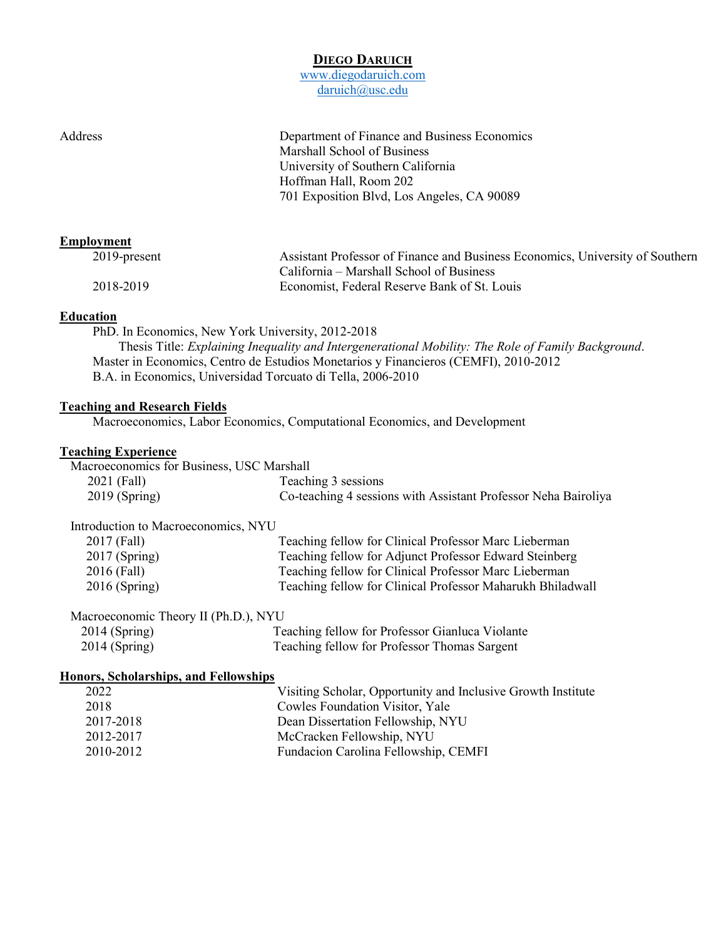# **DIEGO DARUICH**

[www.diegodaruich.com](http://www.diegodaruich.com/) [daruich@usc.edu](mailto:daruich@usc.edu)

Marshall School of Business University of Southern California Hoffman Hall, Room 202 701 Exposition Blvd, Los Angeles, CA 90089

# **Employment**

| $2019$ -present | Assistant Professor of Finance and Business Economics, University of Southern |
|-----------------|-------------------------------------------------------------------------------|
|                 | California – Marshall School of Business                                      |
| 2018-2019       | Economist, Federal Reserve Bank of St. Louis                                  |

# **Education**

PhD. In Economics, New York University, 2012-2018 Thesis Title: *Explaining Inequality and Intergenerational Mobility: The Role of Family Background*. Master in Economics, Centro de Estudios Monetarios y Financieros (CEMFI), 2010-2012 B.A. in Economics, Universidad Torcuato di Tella, 2006-2010

# **Teaching and Research Fields**

Macroeconomics, Labor Economics, Computational Economics, and Development

Address Department of Finance and Business Economics

# **Teaching Experience**

| Macroeconomics for Business, USC Marshall |                                                                |
|-------------------------------------------|----------------------------------------------------------------|
| 2021 (Fall)                               | Teaching 3 sessions                                            |
| $2019$ (Spring)                           | Co-teaching 4 sessions with Assistant Professor Neha Bairoliya |

#### Introduction to Macroeconomics, NYU

| 2017 (Fall)     | Teaching fellow for Clinical Professor Marc Lieberman      |
|-----------------|------------------------------------------------------------|
| $2017$ (Spring) | Teaching fellow for Adjunct Professor Edward Steinberg     |
| 2016 (Fall)     | Teaching fellow for Clinical Professor Marc Lieberman      |
| $2016$ (Spring) | Teaching fellow for Clinical Professor Maharukh Bhiladwall |

# Macroeconomic Theory II (Ph.D.), NYU

| $2014$ (Spring) | Teaching fellow for Professor Gianluca Violante |
|-----------------|-------------------------------------------------|
| $2014$ (Spring) | Teaching fellow for Professor Thomas Sargent    |

#### **Honors, Scholarships, and Fellowships**

| 2022      | Visiting Scholar, Opportunity and Inclusive Growth Institute |
|-----------|--------------------------------------------------------------|
| 2018      | Cowles Foundation Visitor, Yale                              |
| 2017-2018 | Dean Dissertation Fellowship, NYU                            |
| 2012-2017 | McCracken Fellowship, NYU                                    |
| 2010-2012 | Fundacion Carolina Fellowship, CEMFI                         |
|           |                                                              |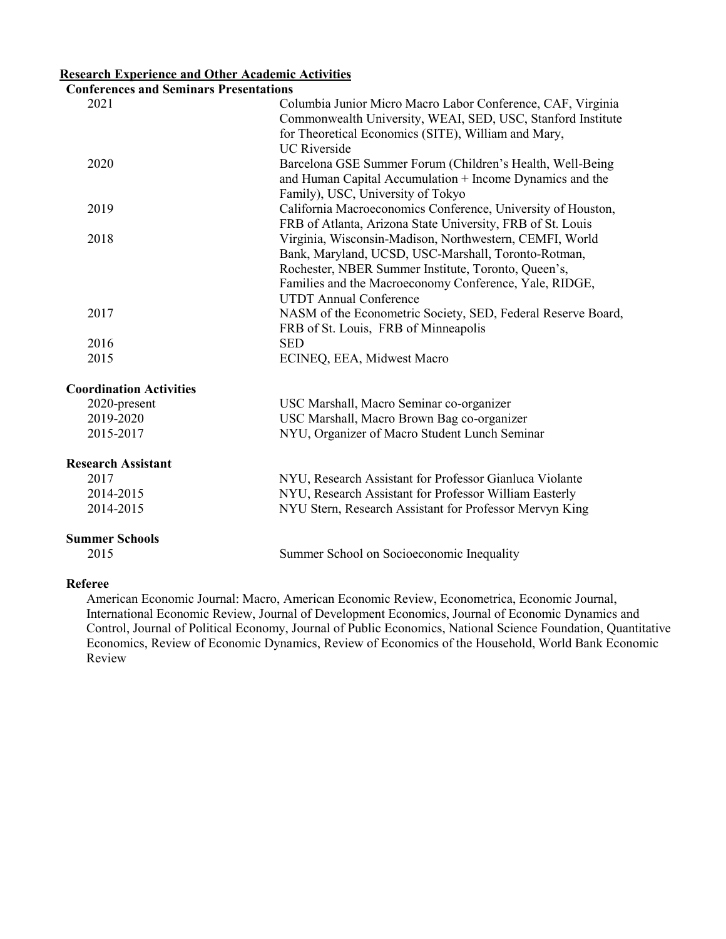# **Research Experience and Other Academic Activities**

# **Conferences and Seminars Presentations**

| Confei ences and semmals I resentations |                                                              |
|-----------------------------------------|--------------------------------------------------------------|
| 2021                                    | Columbia Junior Micro Macro Labor Conference, CAF, Virginia  |
|                                         | Commonwealth University, WEAI, SED, USC, Stanford Institute  |
|                                         | for Theoretical Economics (SITE), William and Mary,          |
|                                         | <b>UC</b> Riverside                                          |
| 2020                                    | Barcelona GSE Summer Forum (Children's Health, Well-Being    |
|                                         | and Human Capital Accumulation + Income Dynamics and the     |
|                                         | Family), USC, University of Tokyo                            |
| 2019                                    | California Macroeconomics Conference, University of Houston, |
|                                         | FRB of Atlanta, Arizona State University, FRB of St. Louis   |
| 2018                                    | Virginia, Wisconsin-Madison, Northwestern, CEMFI, World      |
|                                         | Bank, Maryland, UCSD, USC-Marshall, Toronto-Rotman,          |
|                                         | Rochester, NBER Summer Institute, Toronto, Queen's,          |
|                                         | Families and the Macroeconomy Conference, Yale, RIDGE,       |
|                                         | <b>UTDT</b> Annual Conference                                |
| 2017                                    | NASM of the Econometric Society, SED, Federal Reserve Board, |
|                                         | FRB of St. Louis, FRB of Minneapolis                         |
| 2016                                    | <b>SED</b>                                                   |
| 2015                                    | ECINEQ, EEA, Midwest Macro                                   |
|                                         |                                                              |
| <b>Coordination Activities</b>          |                                                              |
| 2020-present                            | USC Marshall, Macro Seminar co-organizer                     |
| 2019-2020                               | USC Marshall, Macro Brown Bag co-organizer                   |
| 2015-2017                               | NYU, Organizer of Macro Student Lunch Seminar                |

### **Research Assistant**

| 2017      | NYU, Research Assistant for Professor Gianluca Violante |
|-----------|---------------------------------------------------------|
| 2014-2015 | NYU, Research Assistant for Professor William Easterly  |
| 2014-2015 | NYU Stern, Research Assistant for Professor Mervyn King |

#### **Summer Schools**

2015 Summer School on Socioeconomic Inequality

# **Referee**

American Economic Journal: Macro, American Economic Review, Econometrica, Economic Journal, International Economic Review, Journal of Development Economics, Journal of Economic Dynamics and Control, Journal of Political Economy, Journal of Public Economics, National Science Foundation, Quantitative Economics, Review of Economic Dynamics, Review of Economics of the Household, World Bank Economic Review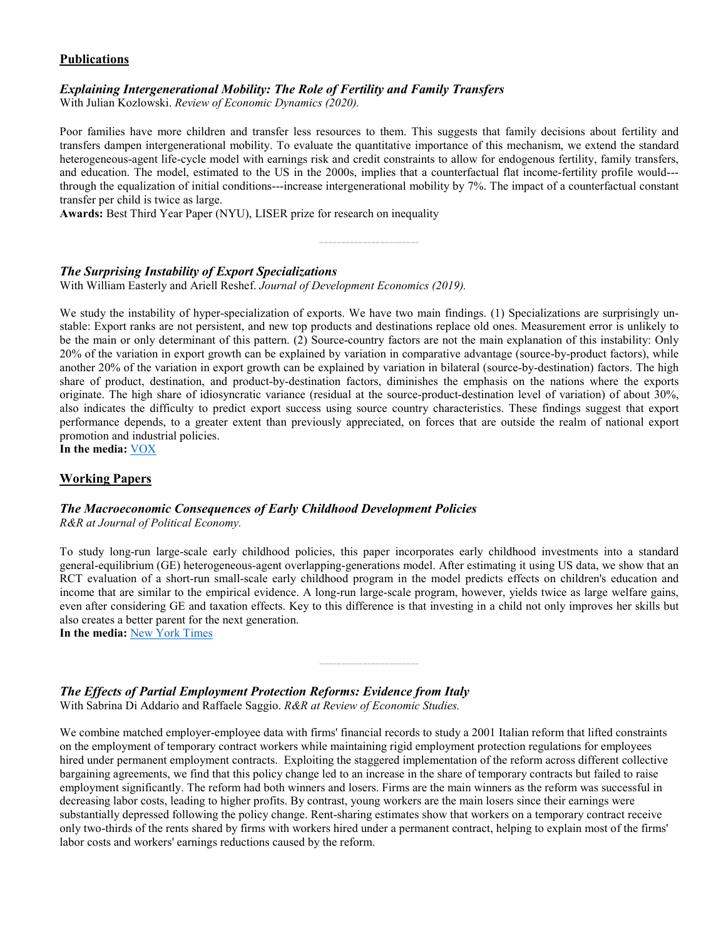# **Publications**

# *Explaining Intergenerational Mobility: The Role of Fertility and Family Transfers*

With Julian Kozlowski. *Review of Economic Dynamics (2020).*

Poor families have more children and transfer less resources to them. This suggests that family decisions about fertility and transfers dampen intergenerational mobility. To evaluate the quantitative importance of this mechanism, we extend the standard heterogeneous-agent life-cycle model with earnings risk and credit constraints to allow for endogenous fertility, family transfers, and education. The model, estimated to the US in the 2000s, implies that a counterfactual flat income-fertility profile would-- through the equalization of initial conditions---increase intergenerational mobility by 7%. The impact of a counterfactual constant transfer per child is twice as large.

*-----------------------*

**Awards:** Best Third Year Paper (NYU), LISER prize for research on inequality

# *The Surprising Instability of Export Specializations*

With William Easterly and Ariell Reshef. *Journal of Development Economics (2019).*

We study the instability of hyper-specialization of exports. We have two main findings. (1) Specializations are surprisingly unstable: Export ranks are not persistent, and new top products and destinations replace old ones. Measurement error is unlikely to be the main or only determinant of this pattern. (2) Source-country factors are not the main explanation of this instability: Only 20% of the variation in export growth can be explained by variation in comparative advantage (source-by-product factors), while another 20% of the variation in export growth can be explained by variation in bilateral (source-by-destination) factors. The high share of product, destination, and product-by-destination factors, diminishes the emphasis on the nations where the exports originate. The high share of idiosyncratic variance (residual at the source-product-destination level of variation) of about 30%, also indicates the difficulty to predict export success using source country characteristics. These findings suggest that export performance depends, to a greater extent than previously appreciated, on forces that are outside the realm of national export promotion and industrial policies.

**In the media:** [VOX](http://voxeu.org/article/surprising-prevalence-surprises-export-specialisation)

# **Working Papers**

#### *The Macroeconomic Consequences of Early Childhood Development Policies R&R at Journal of Political Economy.*

To study long-run large-scale early childhood policies, this paper incorporates early childhood investments into a standard general-equilibrium (GE) heterogeneous-agent overlapping-generations model. After estimating it using US data, we show that an RCT evaluation of a short-run small-scale early childhood program in the model predicts effects on children's education and income that are similar to the empirical evidence. A long-run large-scale program, however, yields twice as large welfare gains, even after considering GE and taxation effects. Key to this difference is that investing in a child not only improves her skills but also creates a better parent for the next generation.

*-----------------------*

**In the media:** [New York Times](https://www.nytimes.com/2021/06/23/opinion/education-poverty-intervention.html?smid=url-share)

*The Effects of Partial Employment Protection Reforms: Evidence from Italy* With Sabrina Di Addario and Raffaele Saggio. *R&R at Review of Economic Studies.*

We combine matched employer-employee data with firms' financial records to study a 2001 Italian reform that lifted constraints on the employment of temporary contract workers while maintaining rigid employment protection regulations for employees hired under permanent employment contracts. Exploiting the staggered implementation of the reform across different collective bargaining agreements, we find that this policy change led to an increase in the share of temporary contracts but failed to raise employment significantly. The reform had both winners and losers. Firms are the main winners as the reform was successful in decreasing labor costs, leading to higher profits. By contrast, young workers are the main losers since their earnings were substantially depressed following the policy change. Rent-sharing estimates show that workers on a temporary contract receive only two-thirds of the rents shared by firms with workers hired under a permanent contract, helping to explain most of the firms' labor costs and workers' earnings reductions caused by the reform.